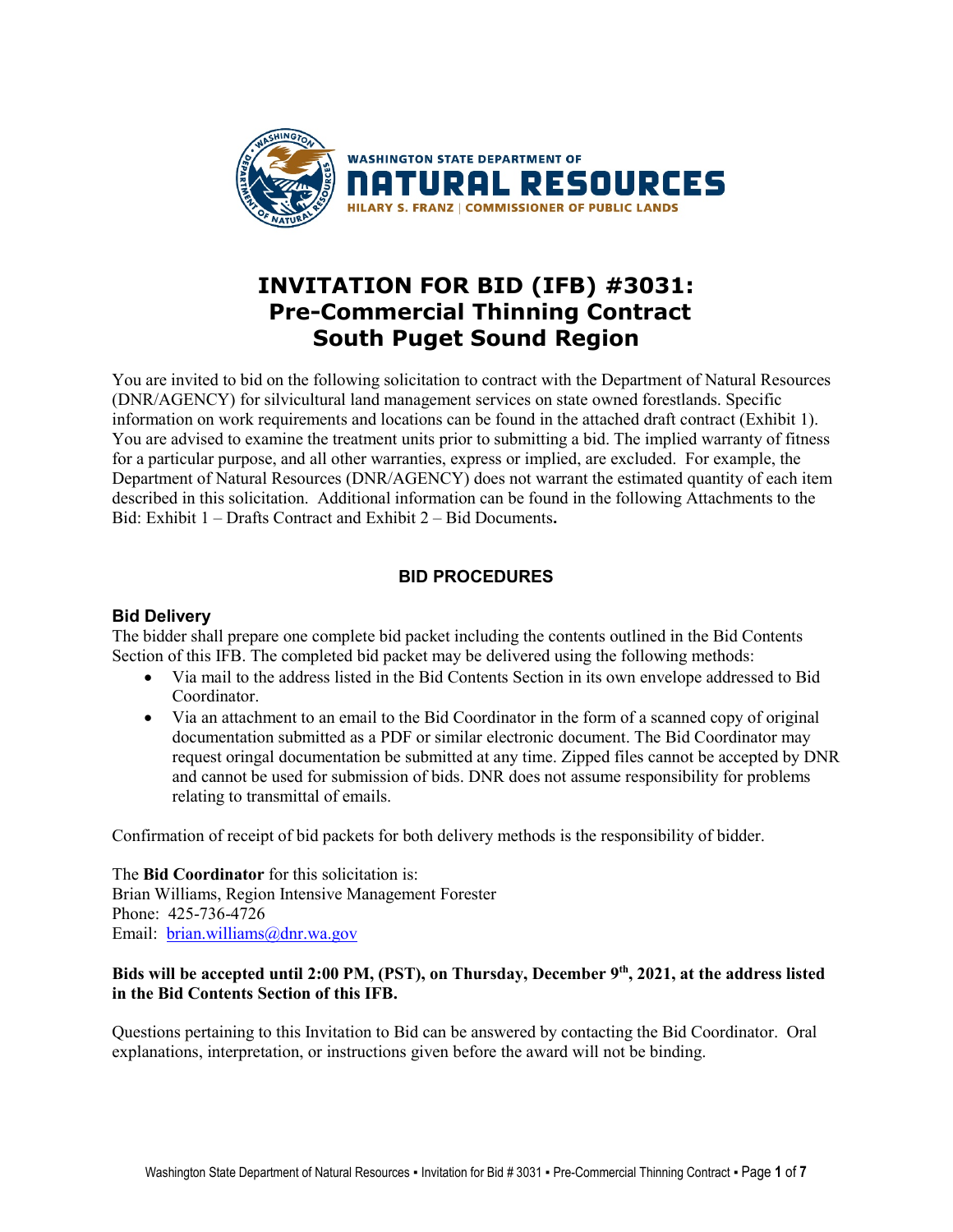

# **INVITATION FOR BID (IFB) #3031: Pre-Commercial Thinning Contract South Puget Sound Region**

You are invited to bid on the following solicitation to contract with the Department of Natural Resources (DNR/AGENCY) for silvicultural land management services on state owned forestlands. Specific information on work requirements and locations can be found in the attached draft contract (Exhibit 1). You are advised to examine the treatment units prior to submitting a bid. The implied warranty of fitness for a particular purpose, and all other warranties, express or implied, are excluded. For example, the Department of Natural Resources (DNR/AGENCY) does not warrant the estimated quantity of each item described in this solicitation. Additional information can be found in the following Attachments to the Bid: Exhibit 1 – Drafts Contract and Exhibit 2 – Bid Documents**.**

# **BID PROCEDURES**

# **Bid Delivery**

The bidder shall prepare one complete bid packet including the contents outlined in the Bid Contents Section of this IFB. The completed bid packet may be delivered using the following methods:

- Via mail to the address listed in the Bid Contents Section in its own envelope addressed to Bid Coordinator.
- Via an attachment to an email to the Bid Coordinator in the form of a scanned copy of original documentation submitted as a PDF or similar electronic document. The Bid Coordinator may request oringal documentation be submitted at any time. Zipped files cannot be accepted by DNR and cannot be used for submission of bids. DNR does not assume responsibility for problems relating to transmittal of emails.

Confirmation of receipt of bid packets for both delivery methods is the responsibility of bidder.

The **Bid Coordinator** for this solicitation is: Brian Williams, Region Intensive Management Forester Phone: 425-736-4726 Email: [brian.williams@dnr.wa.gov](mailto:brian.williams@dnr.wa.gov)

# **Bids will be accepted until 2:00 PM, (PST), on Thursday, December 9th, 2021, at the address listed in the Bid Contents Section of this IFB.**

Questions pertaining to this Invitation to Bid can be answered by contacting the Bid Coordinator. Oral explanations, interpretation, or instructions given before the award will not be binding.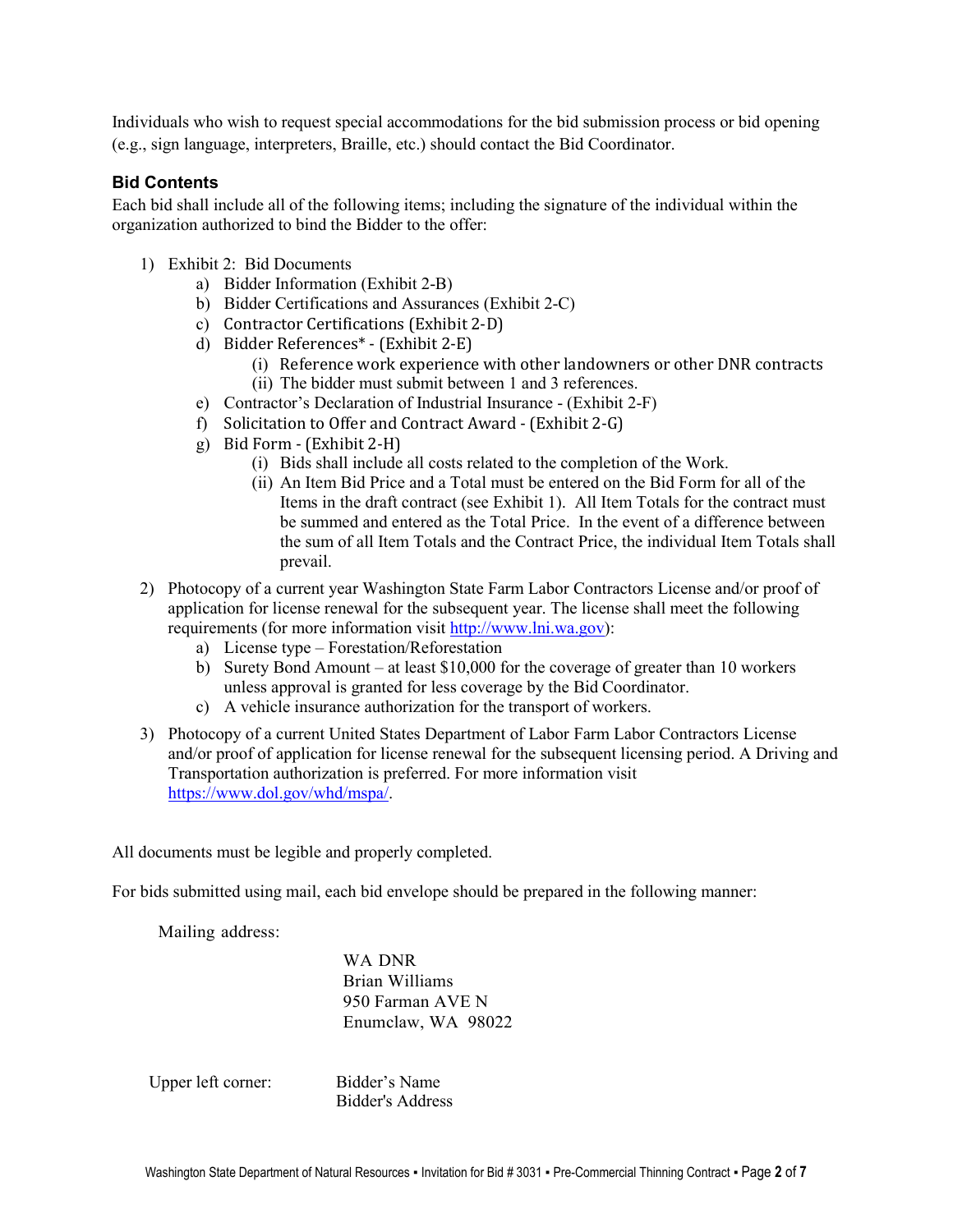Individuals who wish to request special accommodations for the bid submission process or bid opening (e.g., sign language, interpreters, Braille, etc.) should contact the Bid Coordinator.

# **Bid Contents**

Each bid shall include all of the following items; including the signature of the individual within the organization authorized to bind the Bidder to the offer:

- 1) Exhibit 2: Bid Documents
	- a) Bidder Information (Exhibit 2-B)
	- b) Bidder Certifications and Assurances (Exhibit 2-C)
	- c) Contractor Certifications (Exhibit 2-D)
	- d) Bidder References\* (Exhibit 2-E)
		- (i) Reference work experience with other landowners or other DNR contracts (ii) The bidder must submit between 1 and 3 references.
	- e) Contractor's Declaration of Industrial Insurance (Exhibit 2-F)
	- f) Solicitation to Offer and Contract Award (Exhibit 2-G)
	- g) Bid Form (Exhibit 2-H)
		- (i) Bids shall include all costs related to the completion of the Work.
		- (ii) An Item Bid Price and a Total must be entered on the Bid Form for all of the Items in the draft contract (see Exhibit 1). All Item Totals for the contract must be summed and entered as the Total Price. In the event of a difference between the sum of all Item Totals and the Contract Price, the individual Item Totals shall prevail.
- 2) Photocopy of a current year Washington State Farm Labor Contractors License and/or proof of application for license renewal for the subsequent year. The license shall meet the following requirements (for more information visit [http://www.lni.wa.gov\)](http://www.lni.wa.gov/):
	- a) License type Forestation/Reforestation
	- b) Surety Bond Amount at least \$10,000 for the coverage of greater than 10 workers unless approval is granted for less coverage by the Bid Coordinator.
	- c) A vehicle insurance authorization for the transport of workers.
- 3) Photocopy of a current United States Department of Labor Farm Labor Contractors License and/or proof of application for license renewal for the subsequent licensing period. A Driving and Transportation authorization is preferred. For more information visit [https://www.dol.gov/whd/mspa/.](https://www.dol.gov/whd/mspa/)

All documents must be legible and properly completed.

For bids submitted using mail, each bid envelope should be prepared in the following manner:

Mailing address:

WA DNR Brian Williams 950 Farman AVE N Enumclaw, WA 98022

Upper left corner: Bidder's Name

Bidder's Address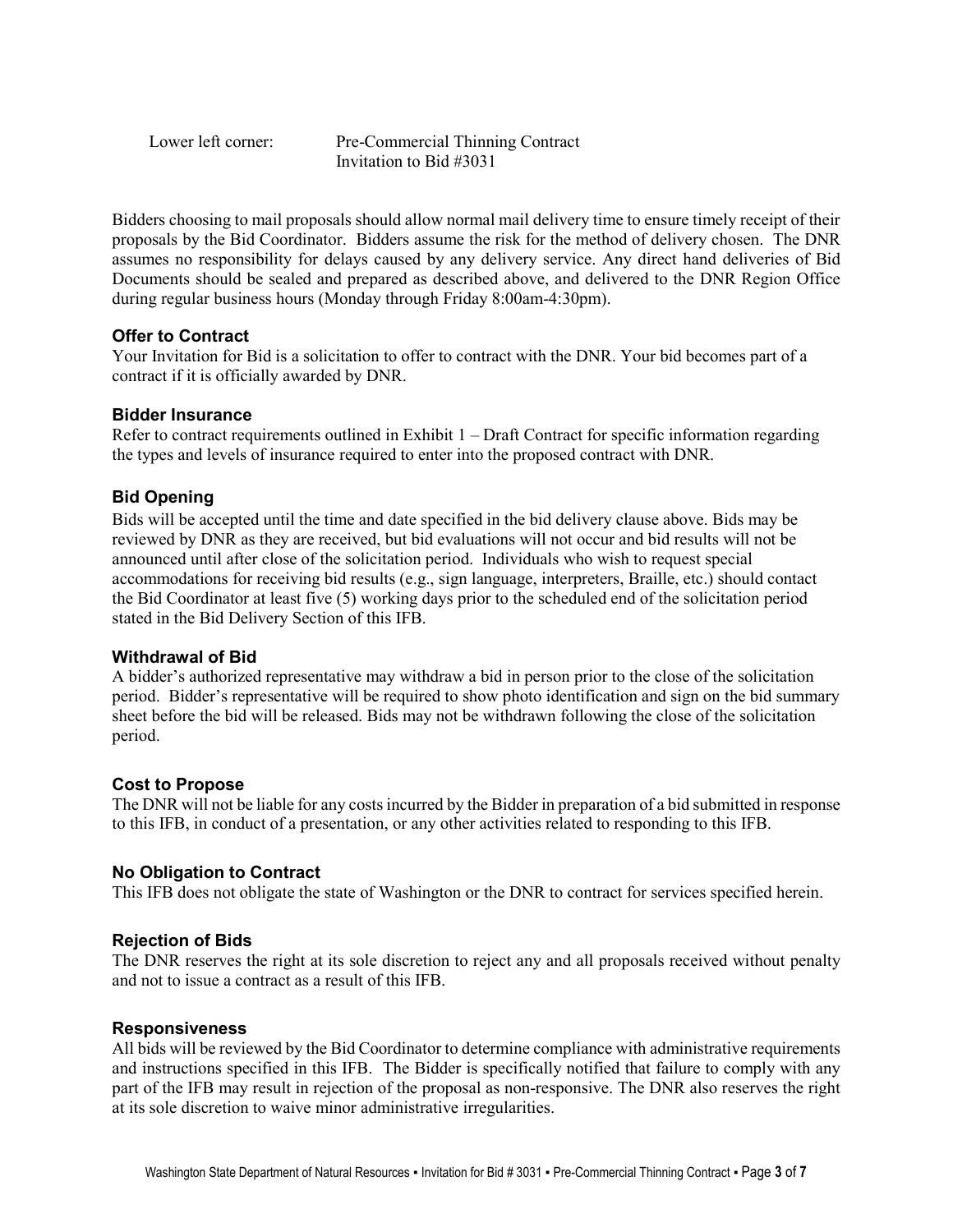Lower left corner: Pre-Commercial Thinning Contract Invitation to Bid #3031

Bidders choosing to mail proposals should allow normal mail delivery time to ensure timely receipt of their proposals by the Bid Coordinator. Bidders assume the risk for the method of delivery chosen. The DNR assumes no responsibility for delays caused by any delivery service. Any direct hand deliveries of Bid Documents should be sealed and prepared as described above, and delivered to the DNR Region Office during regular business hours (Monday through Friday 8:00am-4:30pm).

# **Offer to Contract**

Your Invitation for Bid is a solicitation to offer to contract with the DNR. Your bid becomes part of a contract if it is officially awarded by DNR.

# **Bidder Insurance**

Refer to contract requirements outlined in Exhibit  $1 - \text{Draft Contract for specific information regarding}$ the types and levels of insurance required to enter into the proposed contract with DNR.

# **Bid Opening**

Bids will be accepted until the time and date specified in the bid delivery clause above. Bids may be reviewed by DNR as they are received, but bid evaluations will not occur and bid results will not be announced until after close of the solicitation period. Individuals who wish to request special accommodations for receiving bid results (e.g., sign language, interpreters, Braille, etc.) should contact the Bid Coordinator at least five (5) working days prior to the scheduled end of the solicitation period stated in the Bid Delivery Section of this IFB.

# **Withdrawal of Bid**

A bidder's authorized representative may withdraw a bid in person prior to the close of the solicitation period. Bidder's representative will be required to show photo identification and sign on the bid summary sheet before the bid will be released. Bids may not be withdrawn following the close of the solicitation period.

# **Cost to Propose**

The DNR will not be liable for any costs incurred by the Bidder in preparation of a bid submitted in response to this IFB, in conduct of a presentation, or any other activities related to responding to this IFB.

#### **No Obligation to Contract**

This IFB does not obligate the state of Washington or the DNR to contract for services specified herein.

#### **Rejection of Bids**

The DNR reserves the right at its sole discretion to reject any and all proposals received without penalty and not to issue a contract as a result of this IFB.

#### **Responsiveness**

All bids will be reviewed by the Bid Coordinator to determine compliance with administrative requirements and instructions specified in this IFB. The Bidder is specifically notified that failure to comply with any part of the IFB may result in rejection of the proposal as non-responsive. The DNR also reserves the right at its sole discretion to waive minor administrative irregularities.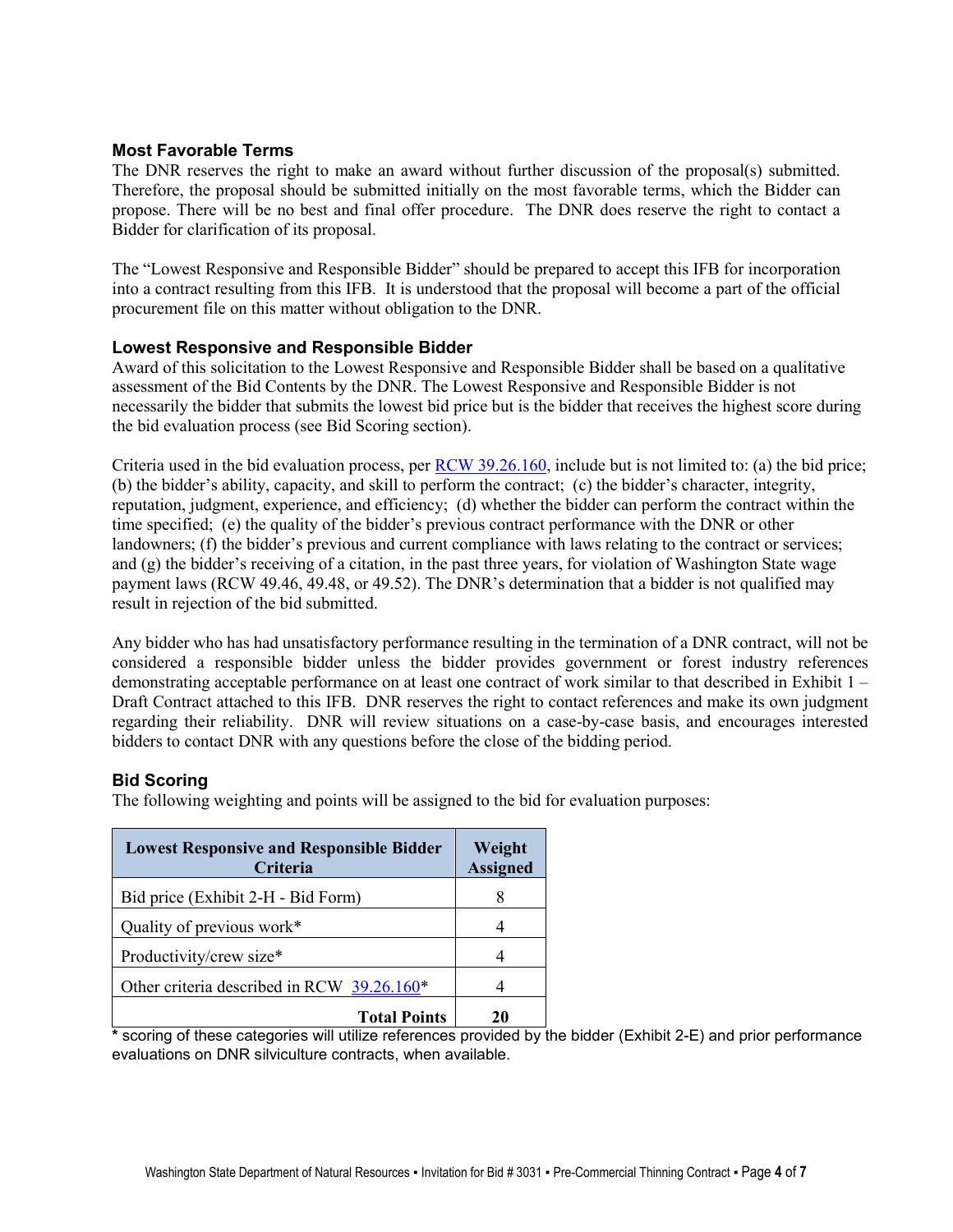# **Most Favorable Terms**

The DNR reserves the right to make an award without further discussion of the proposal(s) submitted. Therefore, the proposal should be submitted initially on the most favorable terms, which the Bidder can propose. There will be no best and final offer procedure. The DNR does reserve the right to contact a Bidder for clarification of its proposal.

The "Lowest Responsive and Responsible Bidder" should be prepared to accept this IFB for incorporation into a contract resulting from this IFB. It is understood that the proposal will become a part of the official procurement file on this matter without obligation to the DNR.

#### **Lowest Responsive and Responsible Bidder**

Award of this solicitation to the Lowest Responsive and Responsible Bidder shall be based on a qualitative assessment of the Bid Contents by the DNR. The Lowest Responsive and Responsible Bidder is not necessarily the bidder that submits the lowest bid price but is the bidder that receives the highest score during the bid evaluation process (see Bid Scoring section).

Criteria used in the bid evaluation process, per [RCW 39.26.160,](http://apps.leg.wa.gov/rcw/default.aspx?cite=39.26.160) include but is not limited to: (a) the bid price; (b) the bidder's ability, capacity, and skill to perform the contract; (c) the bidder's character, integrity, reputation, judgment, experience, and efficiency; (d) whether the bidder can perform the contract within the time specified; (e) the quality of the bidder's previous contract performance with the DNR or other landowners; (f) the bidder's previous and current compliance with laws relating to the contract or services; and (g) the bidder's receiving of a citation, in the past three years, for violation of Washington State wage payment laws (RCW 49.46, 49.48, or 49.52). The DNR's determination that a bidder is not qualified may result in rejection of the bid submitted.

Any bidder who has had unsatisfactory performance resulting in the termination of a DNR contract, will not be considered a responsible bidder unless the bidder provides government or forest industry references demonstrating acceptable performance on at least one contract of work similar to that described in Exhibit 1 – Draft Contract attached to this IFB. DNR reserves the right to contact references and make its own judgment regarding their reliability. DNR will review situations on a case-by-case basis, and encourages interested bidders to contact DNR with any questions before the close of the bidding period.

# **Bid Scoring**

The following weighting and points will be assigned to the bid for evaluation purposes:

| <b>Lowest Responsive and Responsible Bidder</b><br>Criteria | Weight<br><b>Assigned</b> |  |  |
|-------------------------------------------------------------|---------------------------|--|--|
| Bid price (Exhibit 2-H - Bid Form)                          | 8                         |  |  |
| Quality of previous work*                                   |                           |  |  |
| Productivity/crew size*                                     |                           |  |  |
| Other criteria described in RCW 39.26.160*                  |                           |  |  |
| <b>Total Points</b>                                         | 20                        |  |  |

**\*** scoring of these categories will utilize references provided by the bidder (Exhibit 2-E) and prior performance evaluations on DNR silviculture contracts, when available.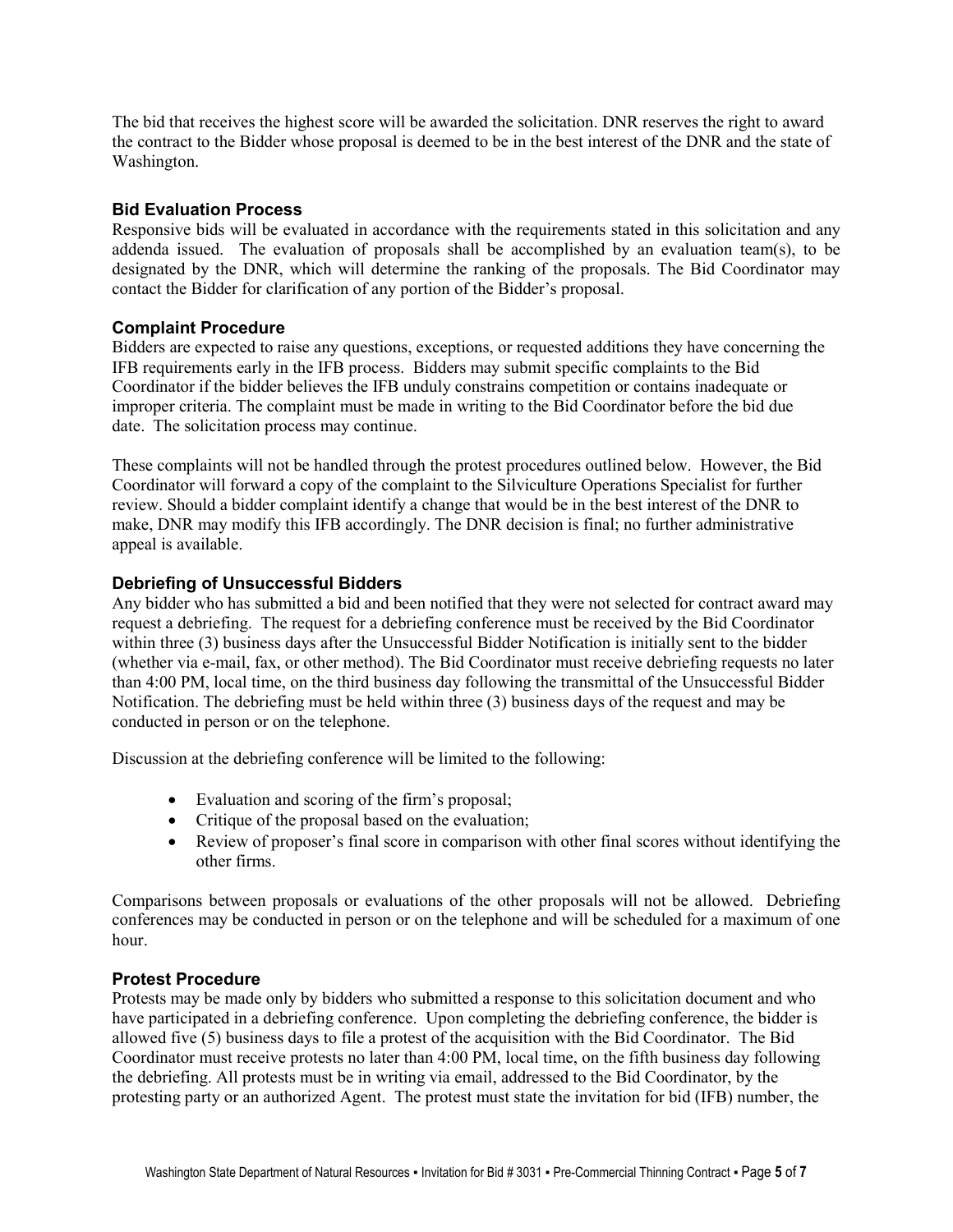The bid that receives the highest score will be awarded the solicitation. DNR reserves the right to award the contract to the Bidder whose proposal is deemed to be in the best interest of the DNR and the state of Washington.

### **Bid Evaluation Process**

Responsive bids will be evaluated in accordance with the requirements stated in this solicitation and any addenda issued. The evaluation of proposals shall be accomplished by an evaluation team(s), to be designated by the DNR, which will determine the ranking of the proposals. The Bid Coordinator may contact the Bidder for clarification of any portion of the Bidder's proposal.

# **Complaint Procedure**

Bidders are expected to raise any questions, exceptions, or requested additions they have concerning the IFB requirements early in the IFB process. Bidders may submit specific complaints to the Bid Coordinator if the bidder believes the IFB unduly constrains competition or contains inadequate or improper criteria. The complaint must be made in writing to the Bid Coordinator before the bid due date. The solicitation process may continue.

These complaints will not be handled through the protest procedures outlined below. However, the Bid Coordinator will forward a copy of the complaint to the Silviculture Operations Specialist for further review. Should a bidder complaint identify a change that would be in the best interest of the DNR to make, DNR may modify this IFB accordingly. The DNR decision is final; no further administrative appeal is available.

# **Debriefing of Unsuccessful Bidders**

Any bidder who has submitted a bid and been notified that they were not selected for contract award may request a debriefing. The request for a debriefing conference must be received by the Bid Coordinator within three (3) business days after the Unsuccessful Bidder Notification is initially sent to the bidder (whether via e-mail, fax, or other method). The Bid Coordinator must receive debriefing requests no later than 4:00 PM, local time, on the third business day following the transmittal of the Unsuccessful Bidder Notification. The debriefing must be held within three (3) business days of the request and may be conducted in person or on the telephone.

Discussion at the debriefing conference will be limited to the following:

- Evaluation and scoring of the firm's proposal;
- Critique of the proposal based on the evaluation;
- Review of proposer's final score in comparison with other final scores without identifying the other firms.

Comparisons between proposals or evaluations of the other proposals will not be allowed. Debriefing conferences may be conducted in person or on the telephone and will be scheduled for a maximum of one hour.

#### **Protest Procedure**

Protests may be made only by bidders who submitted a response to this solicitation document and who have participated in a debriefing conference. Upon completing the debriefing conference, the bidder is allowed five (5) business days to file a protest of the acquisition with the Bid Coordinator. The Bid Coordinator must receive protests no later than 4:00 PM, local time, on the fifth business day following the debriefing. All protests must be in writing via email, addressed to the Bid Coordinator, by the protesting party or an authorized Agent. The protest must state the invitation for bid (IFB) number, the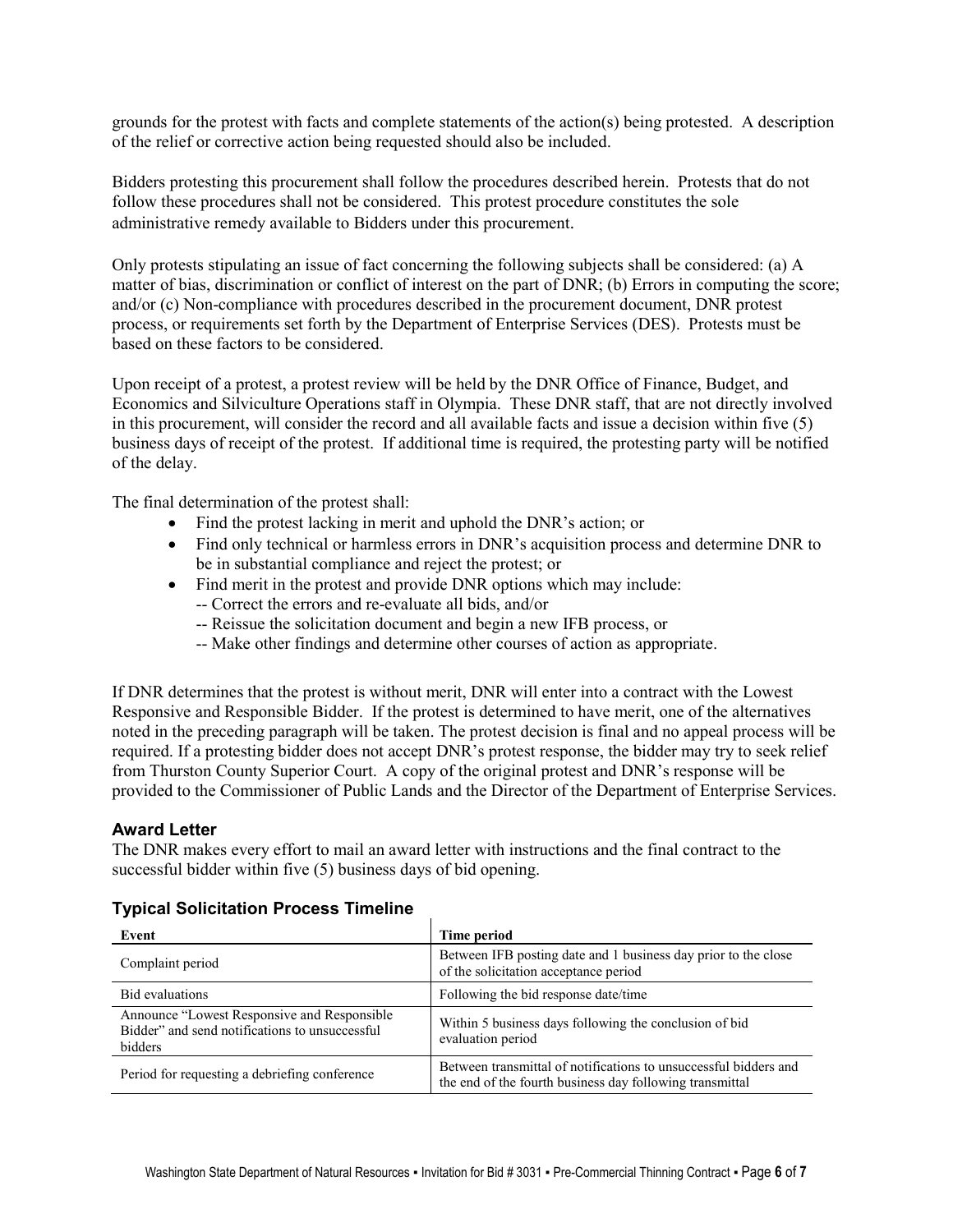grounds for the protest with facts and complete statements of the action(s) being protested. A description of the relief or corrective action being requested should also be included.

Bidders protesting this procurement shall follow the procedures described herein. Protests that do not follow these procedures shall not be considered. This protest procedure constitutes the sole administrative remedy available to Bidders under this procurement.

Only protests stipulating an issue of fact concerning the following subjects shall be considered: (a) A matter of bias, discrimination or conflict of interest on the part of DNR; (b) Errors in computing the score; and/or (c) Non-compliance with procedures described in the procurement document, DNR protest process, or requirements set forth by the Department of Enterprise Services (DES). Protests must be based on these factors to be considered.

Upon receipt of a protest, a protest review will be held by the DNR Office of Finance, Budget, and Economics and Silviculture Operations staff in Olympia. These DNR staff, that are not directly involved in this procurement, will consider the record and all available facts and issue a decision within five (5) business days of receipt of the protest. If additional time is required, the protesting party will be notified of the delay.

The final determination of the protest shall:

- Find the protest lacking in merit and uphold the DNR's action; or
- Find only technical or harmless errors in DNR's acquisition process and determine DNR to be in substantial compliance and reject the protest; or
- Find merit in the protest and provide DNR options which may include:
	- -- Correct the errors and re-evaluate all bids, and/or
	- -- Reissue the solicitation document and begin a new IFB process, or
	- -- Make other findings and determine other courses of action as appropriate.

If DNR determines that the protest is without merit, DNR will enter into a contract with the Lowest Responsive and Responsible Bidder. If the protest is determined to have merit, one of the alternatives noted in the preceding paragraph will be taken. The protest decision is final and no appeal process will be required. If a protesting bidder does not accept DNR's protest response, the bidder may try to seek relief from Thurston County Superior Court. A copy of the original protest and DNR's response will be provided to the Commissioner of Public Lands and the Director of the Department of Enterprise Services.

# **Award Letter**

The DNR makes every effort to mail an award letter with instructions and the final contract to the successful bidder within five (5) business days of bid opening.

#### **Typical Solicitation Process Timeline**

| Event                                                                                                     | Time period                                                                                                                  |
|-----------------------------------------------------------------------------------------------------------|------------------------------------------------------------------------------------------------------------------------------|
| Complaint period                                                                                          | Between IFB posting date and 1 business day prior to the close<br>of the solicitation acceptance period                      |
| <b>Bid evaluations</b>                                                                                    | Following the bid response date/time                                                                                         |
| Announce "Lowest Responsive and Responsible"<br>Bidder" and send notifications to unsuccessful<br>bidders | Within 5 business days following the conclusion of bid<br>evaluation period                                                  |
| Period for requesting a debriefing conference                                                             | Between transmittal of notifications to unsuccessful bidders and<br>the end of the fourth business day following transmittal |